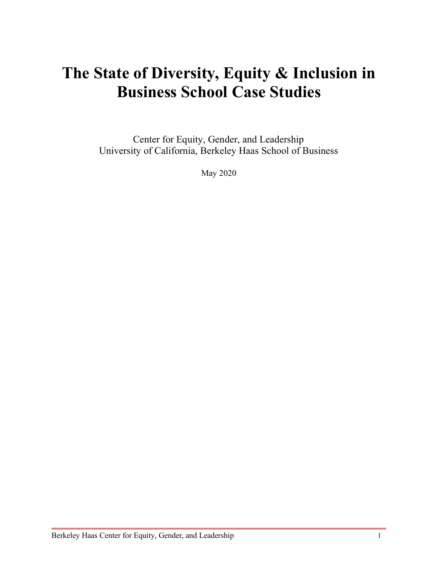# **The State of Diversity, Equity & Inclusion in Business School Case Studies**

Center for Equity, Gender, and Leadership University of California, Berkeley Haas School of Business

May 2020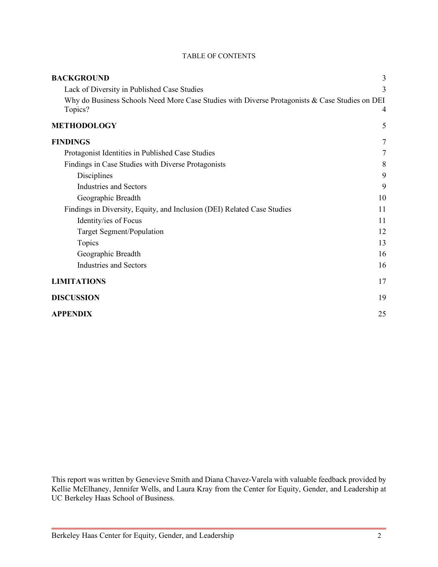| <b>BACKGROUND</b>                                                                                         | 3  |
|-----------------------------------------------------------------------------------------------------------|----|
| Lack of Diversity in Published Case Studies                                                               | 3  |
| Why do Business Schools Need More Case Studies with Diverse Protagonists & Case Studies on DEI<br>Topics? | 4  |
| <b>METHODOLOGY</b>                                                                                        | 5  |
| <b>FINDINGS</b>                                                                                           | 7  |
| Protagonist Identities in Published Case Studies                                                          | 7  |
| Findings in Case Studies with Diverse Protagonists                                                        | 8  |
| Disciplines                                                                                               | 9  |
| <b>Industries and Sectors</b>                                                                             | 9  |
| Geographic Breadth                                                                                        | 10 |
| Findings in Diversity, Equity, and Inclusion (DEI) Related Case Studies                                   | 11 |
| Identity/ies of Focus                                                                                     | 11 |
| Target Segment/Population                                                                                 | 12 |
| Topics                                                                                                    | 13 |
| Geographic Breadth                                                                                        | 16 |
| <b>Industries and Sectors</b>                                                                             | 16 |
| <b>LIMITATIONS</b>                                                                                        | 17 |
| <b>DISCUSSION</b>                                                                                         | 19 |
| <b>APPENDIX</b>                                                                                           | 25 |

TABLE OF CONTENTS

This report was written by Genevieve Smith and Diana Chavez-Varela with valuable feedback provided by Kellie McElhaney, Jennifer Wells, and Laura Kray from the Center for Equity, Gender, and Leadership at UC Berkeley Haas School of Business.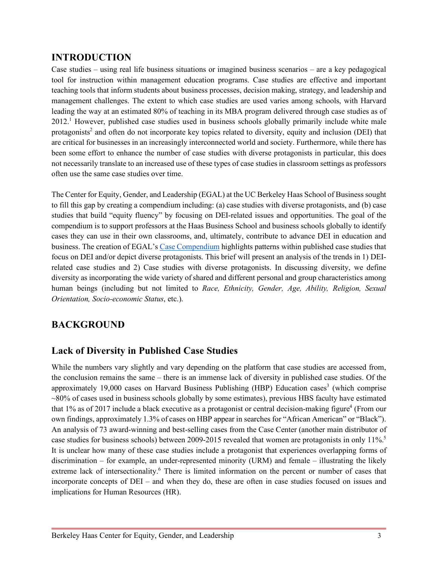# **INTRODUCTION**

Case studies – using real life business situations or imagined business scenarios – are a key pedagogical tool for instruction within management education programs. Case studies are effective and important teaching tools that inform students about business processes, decision making, strategy, and leadership and management challenges. The extent to which case studies are used varies among schools, with Harvard leading the way at an estimated 80% of teaching in its MBA program delivered through case studies as of 2012.1 However, published case studies used in business schools globally primarily include white male protagonists<sup>2</sup> and often do not incorporate key topics related to diversity, equity and inclusion (DEI) that are critical for businesses in an increasingly interconnected world and society. Furthermore, while there has been some effort to enhance the number of case studies with diverse protagonists in particular, this does not necessarily translate to an increased use of these types of case studies in classroom settings as professors often use the same case studies over time.

The Center for Equity, Gender, and Leadership (EGAL) at the UC Berkeley Haas School of Business sought to fill this gap by creating a compendium including: (a) case studies with diverse protagonists, and (b) case studies that build "equity fluency" by focusing on DEI-related issues and opportunities. The goal of the compendium is to support professors at the Haas Business School and business schools globally to identify cases they can use in their own classrooms, and, ultimately, contribute to advance DEI in education and business. The creation of EGAL's Case Compendium highlights patterns within published case studies that focus on DEI and/or depict diverse protagonists. This brief will present an analysis of the trends in 1) DEIrelated case studies and 2) Case studies with diverse protagonists. In discussing diversity, we define diversity as incorporating the wide variety of shared and different personal and group characteristics among human beings (including but not limited to *Race, Ethnicity, Gender, Age, Ability, Religion, Sexual Orientation, Socio-economic Status*, etc.).

# **BACKGROUND**

# **Lack of Diversity in Published Case Studies**

While the numbers vary slightly and vary depending on the platform that case studies are accessed from, the conclusion remains the same – there is an immense lack of diversity in published case studies. Of the approximately 19,000 cases on Harvard Business Publishing (HBP) Education cases<sup>3</sup> (which comprise  $\sim$ 80% of cases used in business schools globally by some estimates), previous HBS faculty have estimated that  $1\%$  as of 2017 include a black executive as a protagonist or central decision-making figure<sup>4</sup> (From our own findings, approximately 1.3% of cases on HBP appear in searches for "African American" or "Black"). An analysis of 73 award-winning and best-selling cases from the Case Center (another main distributor of case studies for business schools) between 2009-2015 revealed that women are protagonists in only 11%.<sup>5</sup> It is unclear how many of these case studies include a protagonist that experiences overlapping forms of discrimination – for example, an under-represented minority (URM) and female – illustrating the likely extreme lack of intersectionality.<sup>6</sup> There is limited information on the percent or number of cases that incorporate concepts of DEI – and when they do, these are often in case studies focused on issues and implications for Human Resources (HR).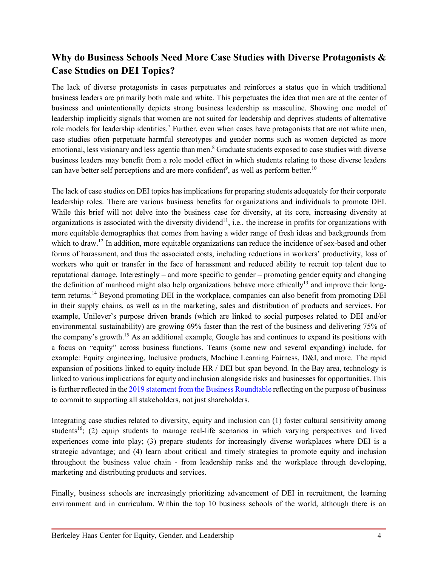# **Why do Business Schools Need More Case Studies with Diverse Protagonists & Case Studies on DEI Topics?**

The lack of diverse protagonists in cases perpetuates and reinforces a status quo in which traditional business leaders are primarily both male and white. This perpetuates the idea that men are at the center of business and unintentionally depicts strong business leadership as masculine. Showing one model of leadership implicitly signals that women are not suited for leadership and deprives students of alternative role models for leadership identities.<sup>7</sup> Further, even when cases have protagonists that are not white men, case studies often perpetuate harmful stereotypes and gender norms such as women depicted as more emotional, less visionary and less agentic than men.<sup>8</sup> Graduate students exposed to case studies with diverse business leaders may benefit from a role model effect in which students relating to those diverse leaders can have better self perceptions and are more confident<sup>9</sup>, as well as perform better.<sup>10</sup>

The lack of case studies on DEI topics has implications for preparing students adequately for their corporate leadership roles. There are various business benefits for organizations and individuals to promote DEI. While this brief will not delve into the business case for diversity, at its core, increasing diversity at organizations is associated with the diversity dividend<sup>11</sup>, i.e., the increase in profits for organizations with more equitable demographics that comes from having a wider range of fresh ideas and backgrounds from which to draw.<sup>12</sup> In addition, more equitable organizations can reduce the incidence of sex-based and other forms of harassment, and thus the associated costs, including reductions in workers' productivity, loss of workers who quit or transfer in the face of harassment and reduced ability to recruit top talent due to reputational damage. Interestingly – and more specific to gender – promoting gender equity and changing the definition of manhood might also help organizations behave more ethically<sup>13</sup> and improve their longterm returns.14 Beyond promoting DEI in the workplace, companies can also benefit from promoting DEI in their supply chains, as well as in the marketing, sales and distribution of products and services. For example, Unilever's purpose driven brands (which are linked to social purposes related to DEI and/or environmental sustainability) are growing 69% faster than the rest of the business and delivering 75% of the company's growth.15 As an additional example, Google has and continues to expand its positions with a focus on "equity" across business functions. Teams (some new and several expanding) include, for example: Equity engineering, Inclusive products, Machine Learning Fairness, D&I, and more. The rapid expansion of positions linked to equity include HR / DEI but span beyond. In the Bay area, technology is linked to various implications for equity and inclusion alongside risks and businesses for opportunities.This is further reflected in the 2019 statement from the Business Roundtable reflecting on the purpose of business to commit to supporting all stakeholders, not just shareholders.

Integrating case studies related to diversity, equity and inclusion can (1) foster cultural sensitivity among students<sup>16</sup>; (2) equip students to manage real-life scenarios in which varying perspectives and lived experiences come into play; (3) prepare students for increasingly diverse workplaces where DEI is a strategic advantage; and (4) learn about critical and timely strategies to promote equity and inclusion throughout the business value chain - from leadership ranks and the workplace through developing, marketing and distributing products and services.

Finally, business schools are increasingly prioritizing advancement of DEI in recruitment, the learning environment and in curriculum. Within the top 10 business schools of the world, although there is an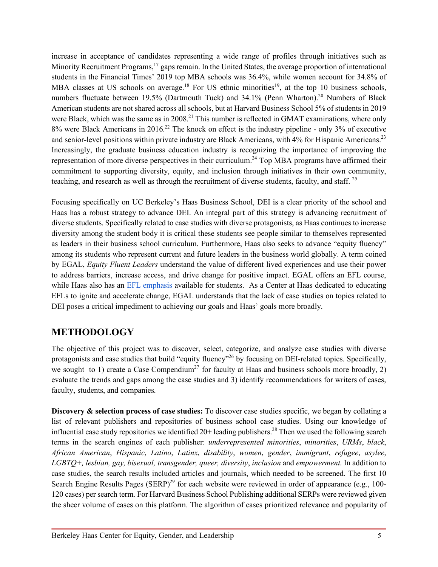increase in acceptance of candidates representing a wide range of profiles through initiatives such as Minority Recruitment Programs,<sup>17</sup> gaps remain. In the United States, the average proportion of international students in the Financial Times' 2019 top MBA schools was 36.4%, while women account for 34.8% of MBA classes at US schools on average.<sup>18</sup> For US ethnic minorities<sup>19</sup>, at the top 10 business schools, numbers fluctuate between 19.5% (Dartmouth Tuck) and  $34.1\%$  (Penn Wharton).<sup>20</sup> Numbers of Black American students are not shared across all schools, but at Harvard Business School 5% of students in 2019 were Black, which was the same as in 2008.<sup>21</sup> This number is reflected in GMAT examinations, where only 8% were Black Americans in 2016.22 The knock on effect is the industry pipeline - only 3% of executive and senior-level positions within private industry are Black Americans, with 4% for Hispanic Americans.<sup>23</sup> Increasingly, the graduate business education industry is recognizing the importance of improving the representation of more diverse perspectives in their curriculum.<sup>24</sup> Top MBA programs have affirmed their commitment to supporting diversity, equity, and inclusion through initiatives in their own community, teaching, and research as well as through the recruitment of diverse students, faculty, and staff. 25

Focusing specifically on UC Berkeley's Haas Business School, DEI is a clear priority of the school and Haas has a robust strategy to advance DEI. An integral part of this strategy is advancing recruitment of diverse students. Specifically related to case studies with diverse protagonists, as Haas continues to increase diversity among the student body it is critical these students see people similar to themselves represented as leaders in their business school curriculum. Furthermore, Haas also seeks to advance "equity fluency" among its students who represent current and future leaders in the business world globally. A term coined by EGAL, *Equity Fluent Leaders* understand the value of different lived experiences and use their power to address barriers, increase access, and drive change for positive impact. EGAL offers an EFL course, while Haas also has an EFL emphasis available for students. As a Center at Haas dedicated to educating EFLs to ignite and accelerate change, EGAL understands that the lack of case studies on topics related to DEI poses a critical impediment to achieving our goals and Haas' goals more broadly.

# **METHODOLOGY**

The objective of this project was to discover, select, categorize, and analyze case studies with diverse protagonists and case studies that build "equity fluency"<sup>26</sup> by focusing on DEI-related topics. Specifically, we sought to 1) create a Case Compendium<sup>27</sup> for faculty at Haas and business schools more broadly, 2) evaluate the trends and gaps among the case studies and 3) identify recommendations for writers of cases, faculty, students, and companies.

**Discovery & selection process of case studies:** To discover case studies specific, we began by collating a list of relevant publishers and repositories of business school case studies. Using our knowledge of influential case study repositories we identified  $20+$  leading publishers.<sup>28</sup> Then we used the following search terms in the search engines of each publisher: *underrepresented minorities*, *minorities*, *URMs*, *black*, *African American*, *Hispanic*, *Latino*, *Latinx*, *disability*, *women*, *gender*, *immigrant*, *refugee*, *asylee*, *LGBTQ+, lesbian, gay, bisexual, transgender, queer, diversity*, *inclusion* and *empowerment*. In addition to case studies, the search results included articles and journals, which needed to be screened. The first 10 Search Engine Results Pages (SERP)<sup>29</sup> for each website were reviewed in order of appearance (e.g., 100-120 cases) per search term. For Harvard Business School Publishing additional SERPs were reviewed given the sheer volume of cases on this platform. The algorithm of cases prioritized relevance and popularity of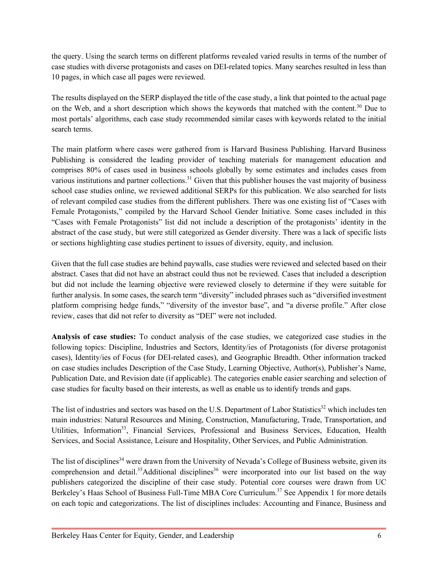the query. Using the search terms on different platforms revealed varied results in terms of the number of case studies with diverse protagonists and cases on DEI-related topics. Many searches resulted in less than 10 pages, in which case all pages were reviewed.

The results displayed on the SERP displayed the title of the case study, a link that pointed to the actual page on the Web, and a short description which shows the keywords that matched with the content.<sup>30</sup> Due to most portals' algorithms, each case study recommended similar cases with keywords related to the initial search terms.

The main platform where cases were gathered from is Harvard Business Publishing. Harvard Business Publishing is considered the leading provider of teaching materials for management education and comprises 80% of cases used in business schools globally by some estimates and includes cases from various institutions and partner collections.<sup>31</sup> Given that this publisher houses the vast majority of business school case studies online, we reviewed additional SERPs for this publication. We also searched for lists of relevant compiled case studies from the different publishers. There was one existing list of "Cases with Female Protagonists," compiled by the Harvard School Gender Initiative. Some cases included in this "Cases with Female Protagonists" list did not include a description of the protagonists' identity in the abstract of the case study, but were still categorized as Gender diversity. There was a lack of specific lists or sections highlighting case studies pertinent to issues of diversity, equity, and inclusion.

Given that the full case studies are behind paywalls, case studies were reviewed and selected based on their abstract. Cases that did not have an abstract could thus not be reviewed. Cases that included a description but did not include the learning objective were reviewed closely to determine if they were suitable for further analysis. In some cases, the search term "diversity" included phrases such as "diversified investment platform comprising hedge funds," "diversity of the investor base", and "a diverse profile." After close review, cases that did not refer to diversity as "DEI" were not included.

**Analysis of case studies:** To conduct analysis of the case studies, we categorized case studies in the following topics: Discipline, Industries and Sectors, Identity/ies of Protagonists (for diverse protagonist cases), Identity/ies of Focus (for DEI-related cases), and Geographic Breadth. Other information tracked on case studies includes Description of the Case Study, Learning Objective, Author(s), Publisher's Name, Publication Date, and Revision date (if applicable). The categories enable easier searching and selection of case studies for faculty based on their interests, as well as enable us to identify trends and gaps.

The list of industries and sectors was based on the U.S. Department of Labor Statistics<sup>32</sup> which includes ten main industries: Natural Resources and Mining, Construction, Manufacturing, Trade, Transportation, and Utilities, Information<sup>33</sup>, Financial Services, Professional and Business Services, Education, Health Services, and Social Assistance, Leisure and Hospitality, Other Services, and Public Administration.

The list of disciplines<sup>34</sup> were drawn from the University of Nevada's College of Business website, given its comprehension and detail.<sup>35</sup>Additional disciplines<sup>36</sup> were incorporated into our list based on the way publishers categorized the discipline of their case study. Potential core courses were drawn from UC Berkeley's Haas School of Business Full-Time MBA Core Curriculum.<sup>37</sup> See Appendix 1 for more details on each topic and categorizations. The list of disciplines includes: Accounting and Finance, Business and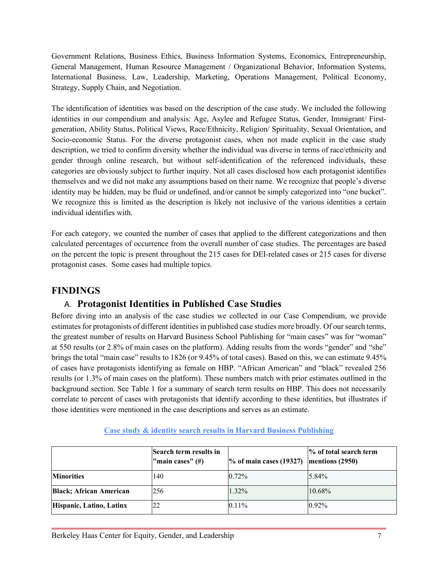Government Relations, Business Ethics, Business Information Systems, Economics, Entrepreneurship, General Management, Human Resource Management / Organizational Behavior, Information Systems, International Business, Law, Leadership, Marketing, Operations Management, Political Economy, Strategy, Supply Chain, and Negotiation.

The identification of identities was based on the description of the case study. We included the following identities in our compendium and analysis: Age, Asylee and Refugee Status, Gender, Immigrant/ Firstgeneration, Ability Status, Political Views, Race/Ethnicity, Religion/ Spirituality, Sexual Orientation, and Socio-economic Status. For the diverse protagonist cases, when not made explicit in the case study description, we tried to confirm diversity whether the individual was diverse in terms of race/ethnicity and gender through online research, but without self-identification of the referenced individuals, these categories are obviously subject to further inquiry. Not all cases disclosed how each protagonist identifies themselves and we did not make any assumptions based on their name. We recognize that people's diverse identity may be hidden, may be fluid or undefined, and/or cannot be simply categorized into "one bucket". We recognize this is limited as the description is likely not inclusive of the various identities a certain individual identifies with.

For each category, we counted the number of cases that applied to the different categorizations and then calculated percentages of occurrence from the overall number of case studies. The percentages are based on the percent the topic is present throughout the 215 cases for DEI-related cases or 215 cases for diverse protagonist cases. Some cases had multiple topics.

# **FINDINGS**

# A. **Protagonist Identities in Published Case Studies**

Before diving into an analysis of the case studies we collected in our Case Compendium, we provide estimates for protagonists of different identities in published case studies more broadly. Of our search terms, the greatest number of results on Harvard Business School Publishing for "main cases" was for "woman" at 550 results (or 2.8% of main cases on the platform). Adding results from the words "gender" and "she" brings the total "main case" results to 1826 (or 9.45% of total cases). Based on this, we can estimate 9.45% of cases have protagonists identifying as female on HBP. "African American" and "black" revealed 256 results (or 1.3% of main cases on the platform). These numbers match with prior estimates outlined in the background section. See Table 1 for a summary of search term results on HBP. This does not necessarily correlate to percent of cases with protagonists that identify according to these identities, but illustrates if those identities were mentioned in the case descriptions and serves as an estimate.

|                                 | Search term results in<br>"main cases" $(\#)$ | $\%$ of main cases (19327) | % of total search term<br>mentions (2950) |
|---------------------------------|-----------------------------------------------|----------------------------|-------------------------------------------|
| <b>Minorities</b>               | 140                                           | 0.72%                      | $5.84\%$                                  |
| <b>Black</b> ; African American | 256                                           | 1.32%                      | 10.68%                                    |
| Hispanic, Latino, Latinx        |                                               | $0.11\%$                   | $0.92\%$                                  |

## **Case study & identity search results in Harvard Business Publishing**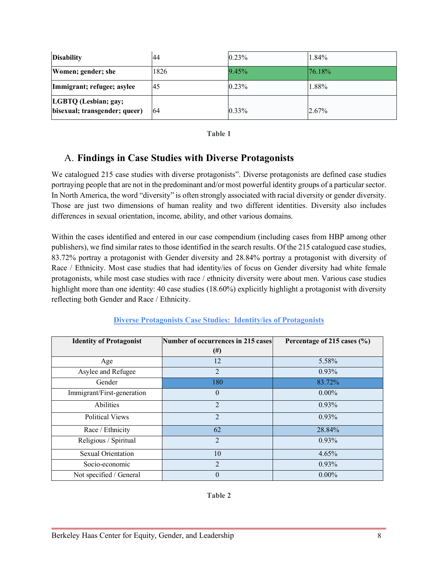| <b>Disability</b>                                     | 44   | $0.23\%$ | 1.84%      |
|-------------------------------------------------------|------|----------|------------|
| Women; gender; she                                    | 1826 | 9.45%    | $176.18\%$ |
| Immigrant; refugee; asylee                            | 45   | 0.23%    | 1.88%      |
| LGBTQ (Lesbian; gay;<br>bisexual; transgender; queer) | -64  | 0.33%    | 2.67%      |

| v<br>۰,<br>۰.<br>۰,<br>w<br>× |  |
|-------------------------------|--|
|-------------------------------|--|

# A. **Findings in Case Studies with Diverse Protagonists**

We catalogued 215 case studies with diverse protagonists". Diverse protagonists are defined case studies portraying people that are not in the predominant and/or most powerful identity groups of a particular sector. In North America, the word "diversity" is often strongly associated with racial diversity or gender diversity. Those are just two dimensions of human reality and two different identities. Diversity also includes differences in sexual orientation, income, ability, and other various domains.

Within the cases identified and entered in our case compendium (including cases from HBP among other publishers), we find similar rates to those identified in the search results. Of the 215 catalogued case studies, 83.72% portray a protagonist with Gender diversity and 28.84% portray a protagonist with diversity of Race / Ethnicity. Most case studies that had identity/ies of focus on Gender diversity had white female protagonists, while most case studies with race / ethnicity diversity were about men. Various case studies highlight more than one identity: 40 case studies (18.60%) explicitly highlight a protagonist with diversity reflecting both Gender and Race / Ethnicity.

| <b>Identity of Protagonist</b> | Number of occurrences in 215 cases | Percentage of 215 cases $(\% )$ |
|--------------------------------|------------------------------------|---------------------------------|
|                                | $^{(#)}$                           |                                 |
| Age                            | 12                                 | 5.58%                           |
| Asylee and Refugee             | $\overline{2}$                     | 0.93%                           |
| Gender                         | 180                                | 83.72%                          |
| Immigrant/First-generation     | $\theta$                           | $0.00\%$                        |
| Abilities                      | $\overline{2}$                     | 0.93%                           |
| <b>Political Views</b>         | $\overline{2}$                     | 0.93%                           |
| Race / Ethnicity               | 62                                 | 28.84%                          |
| Religious / Spiritual          | $\overline{2}$                     | 0.93%                           |
| <b>Sexual Orientation</b>      | 10                                 | 4.65%                           |
| Socio-economic                 | $\overline{2}$                     | 0.93%                           |
| Not specified / General        | $\theta$                           | $0.00\%$                        |

# **Diverse Protagonists Case Studies: Identity/ies of Protagonists**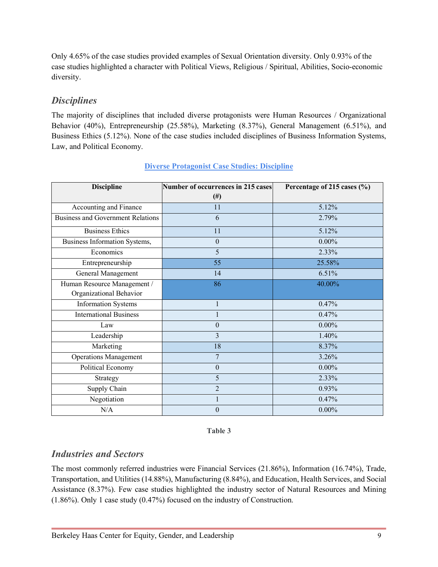Only 4.65% of the case studies provided examples of Sexual Orientation diversity. Only 0.93% of the case studies highlighted a character with Political Views, Religious / Spiritual, Abilities, Socio-economic diversity.

# *Disciplines*

The majority of disciplines that included diverse protagonists were Human Resources / Organizational Behavior (40%), Entrepreneurship (25.58%), Marketing (8.37%), General Management (6.51%), and Business Ethics (5.12%). None of the case studies included disciplines of Business Information Systems, Law, and Political Economy.

| <b>Discipline</b>                        | <b>Number of occurrences in 215 cases</b> | Percentage of 215 cases (%) |
|------------------------------------------|-------------------------------------------|-----------------------------|
|                                          | $(\#)$                                    |                             |
| Accounting and Finance                   | 11                                        | 5.12%                       |
| <b>Business and Government Relations</b> | 6                                         | 2.79%                       |
| <b>Business Ethics</b>                   | 11                                        | 5.12%                       |
| Business Information Systems,            | $\mathbf{0}$                              | $0.00\%$                    |
| Economics                                | 5                                         | 2.33%                       |
| Entrepreneurship                         | 55                                        | 25.58%                      |
| General Management                       | 14                                        | 6.51%                       |
| Human Resource Management /              | 86                                        | 40.00%                      |
| Organizational Behavior                  |                                           |                             |
| <b>Information Systems</b>               | $\mathbf{1}$                              | 0.47%                       |
| <b>International Business</b>            |                                           | 0.47%                       |
| Law                                      | $\mathbf{0}$                              | $0.00\%$                    |
| Leadership                               | 3                                         | 1.40%                       |
| Marketing                                | 18                                        | 8.37%                       |
| <b>Operations Management</b>             | 7                                         | 3.26%                       |
| Political Economy                        | $\mathbf{0}$                              | $0.00\%$                    |
| Strategy                                 | 5                                         | 2.33%                       |
| Supply Chain                             | $\overline{2}$                            | 0.93%                       |
| Negotiation                              |                                           | 0.47%                       |
| N/A                                      | $\theta$                                  | $0.00\%$                    |

## **Diverse Protagonist Case Studies: Discipline**

**Table 3**

# *Industries and Sectors*

The most commonly referred industries were Financial Services (21.86%), Information (16.74%), Trade, Transportation, and Utilities (14.88%), Manufacturing (8.84%), and Education, Health Services, and Social Assistance (8.37%). Few case studies highlighted the industry sector of Natural Resources and Mining (1.86%). Only 1 case study (0.47%) focused on the industry of Construction.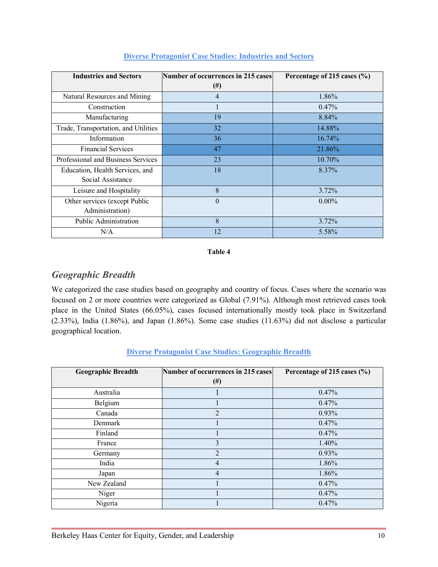| <b>Industries and Sectors</b>        | Number of occurrences in 215 cases | Percentage of 215 cases $(\%$ ) |
|--------------------------------------|------------------------------------|---------------------------------|
|                                      | $^{(#)}$                           |                                 |
| Natural Resources and Mining         | 4                                  | 1.86%                           |
| Construction                         |                                    | $0.47\%$                        |
| Manufacturing                        | 19                                 | 8.84%                           |
| Trade, Transportation, and Utilities | 32                                 | 14.88%                          |
| Information                          | 36                                 | 16.74%                          |
| <b>Financial Services</b>            | 47                                 | 21.86%                          |
| Professional and Business Services   | 23                                 | 10.70%                          |
| Education, Health Services, and      | 18                                 | 8.37%                           |
| Social Assistance                    |                                    |                                 |
| Leisure and Hospitality              | 8                                  | 3.72%                           |
| Other services (except Public        | $\overline{0}$                     | $0.00\%$                        |
| Administration)                      |                                    |                                 |
| Public Administration                | 8                                  | 3.72%                           |
| N/A                                  | 12                                 | 5.58%                           |

#### **Diverse Protagonist Case Studies: Industries and Sectors**

#### **Table 4**

# *Geographic Breadth*

We categorized the case studies based on geography and country of focus. Cases where the scenario was focused on 2 or more countries were categorized as Global (7.91%). Although most retrieved cases took place in the United States (66.05%), cases focused internationally mostly took place in Switzerland (2.33%), India (1.86%), and Japan (1.86%). Some case studies (11.63%) did not disclose a particular geographical location.

| <b>Geographic Breadth</b> | Number of occurrences in 215 cases<br>#) | Percentage of 215 cases (%) |
|---------------------------|------------------------------------------|-----------------------------|
| Australia                 |                                          | 0.47%                       |
| Belgium                   |                                          | 0.47%                       |
| Canada                    | $\overline{2}$                           | 0.93%                       |
| Denmark                   |                                          | 0.47%                       |
| Finland                   |                                          | 0.47%                       |
| France                    | $\mathcal{E}$                            | 1.40%                       |
| Germany                   | $\overline{2}$                           | 0.93%                       |
| India                     | 4                                        | 1.86%                       |
| Japan                     | $\overline{4}$                           | 1.86%                       |
| New Zealand               |                                          | 0.47%                       |
| Niger                     |                                          | 0.47%                       |
| Nigeria                   |                                          | 0.47%                       |

## **Diverse Protagonist Case Studies: Geographic Breadth**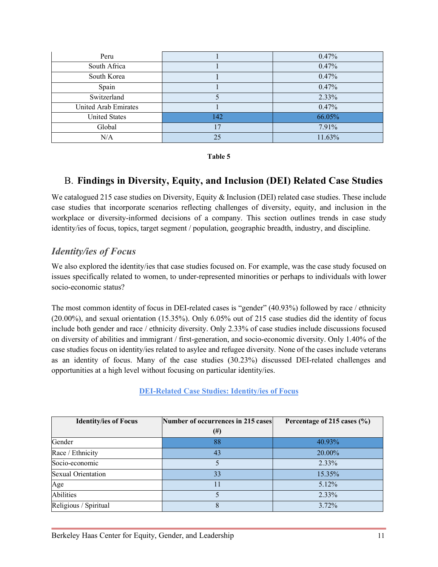| Peru                        |     | 0.47%  |
|-----------------------------|-----|--------|
| South Africa                |     | 0.47%  |
| South Korea                 |     | 0.47%  |
| Spain                       |     | 0.47%  |
| Switzerland                 |     | 2.33%  |
| <b>United Arab Emirates</b> |     | 0.47%  |
| <b>United States</b>        | 142 | 66.05% |
| Global                      | 17  | 7.91%  |
| N/A                         | 25  | 11.63% |

**Table 5**

# B. **Findings in Diversity, Equity, and Inclusion (DEI) Related Case Studies**

We catalogued 215 case studies on Diversity, Equity & Inclusion (DEI) related case studies. These include case studies that incorporate scenarios reflecting challenges of diversity, equity, and inclusion in the workplace or diversity-informed decisions of a company. This section outlines trends in case study identity/ies of focus, topics, target segment / population, geographic breadth, industry, and discipline.

# *Identity/ies of Focus*

We also explored the identity/ies that case studies focused on. For example, was the case study focused on issues specifically related to women, to under-represented minorities or perhaps to individuals with lower socio-economic status?

The most common identity of focus in DEI-related cases is "gender" (40.93%) followed by race / ethnicity (20.00%), and sexual orientation (15.35%). Only 6.05% out of 215 case studies did the identity of focus include both gender and race / ethnicity diversity. Only 2.33% of case studies include discussions focused on diversity of abilities and immigrant / first-generation, and socio-economic diversity. Only 1.40% of the case studies focus on identity/ies related to asylee and refugee diversity*.* None of the cases include veterans as an identity of focus. Many of the case studies (30.23%) discussed DEI-related challenges and opportunities at a high level without focusing on particular identity/ies.

**DEI-Related Case Studies: Identity/ies of Focus**

| <b>Identity/ies of Focus</b> | Number of occurrences in 215 cases | Percentage of 215 cases $(\% )$ |
|------------------------------|------------------------------------|---------------------------------|
|                              | (#)                                |                                 |
| Gender                       | 88                                 | 40.93%                          |
| Race / Ethnicity             | 43                                 | 20.00%                          |
| Socio-economic               |                                    | $2.33\%$                        |
| <b>Sexual Orientation</b>    | 33                                 | 15.35%                          |
| Age                          |                                    | 5.12%                           |
| <b>Abilities</b>             |                                    | 2.33%                           |
| Religious / Spiritual        | 8                                  | 3.72%                           |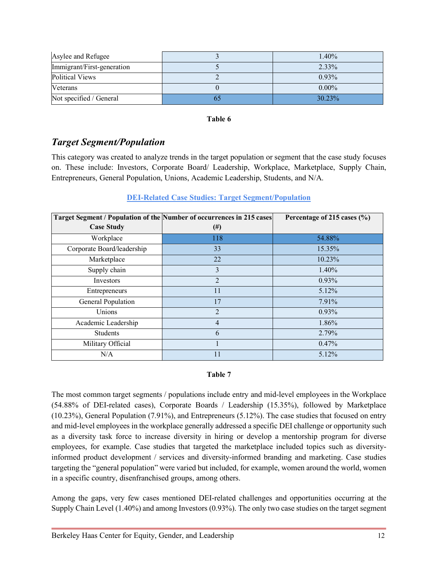| Asylee and Refugee         | 1.40%    |
|----------------------------|----------|
| Immigrant/First-generation | 2.33%    |
| <b>Political Views</b>     | $0.93\%$ |
| Veterans                   | $0.00\%$ |
| Not specified / General    | 30.23%   |

#### **Table 6**

# *Target Segment/Population*

This category was created to analyze trends in the target population or segment that the case study focuses on. These include: Investors, Corporate Board/ Leadership, Workplace, Marketplace, Supply Chain, Entrepreneurs, General Population, Unions, Academic Leadership, Students, and N/A.

## **DEI-Related Case Studies: Target Segment/Population**

| Target Segment / Population of the Number of occurrences in 215 cases |                | Percentage of 215 cases (%) |
|-----------------------------------------------------------------------|----------------|-----------------------------|
| <b>Case Study</b>                                                     | $^{(#)}$       |                             |
| Workplace                                                             | 118            | 54.88%                      |
| Corporate Board/leadership                                            | 33             | 15.35%                      |
| Marketplace                                                           | 22             | 10.23%                      |
| Supply chain                                                          | 3              | 1.40%                       |
| Investors                                                             | $\overline{2}$ | 0.93%                       |
| Entrepreneurs                                                         | 11             | 5.12%                       |
| General Population                                                    | 17             | 7.91%                       |
| Unions                                                                | $\overline{2}$ | 0.93%                       |
| Academic Leadership                                                   | $\overline{4}$ | 1.86%                       |
| <b>Students</b>                                                       | 6              | 2.79%                       |
| Military Official                                                     |                | 0.47%                       |
| N/A                                                                   | 11             | 5.12%                       |

## **Table 7**

The most common target segments / populations include entry and mid-level employees in the Workplace (54.88% of DEI-related cases), Corporate Boards / Leadership (15.35%), followed by Marketplace (10.23%), General Population (7.91%), and Entrepreneurs (5.12%). The case studies that focused on entry and mid-level employees in the workplace generally addressed a specific DEI challenge or opportunity such as a diversity task force to increase diversity in hiring or develop a mentorship program for diverse employees, for example. Case studies that targeted the marketplace included topics such as diversityinformed product development / services and diversity-informed branding and marketing. Case studies targeting the "general population" were varied but included, for example, women around the world, women in a specific country, disenfranchised groups, among others.

Among the gaps, very few cases mentioned DEI-related challenges and opportunities occurring at the Supply Chain Level (1.40%) and among Investors (0.93%). The only two case studies on the target segment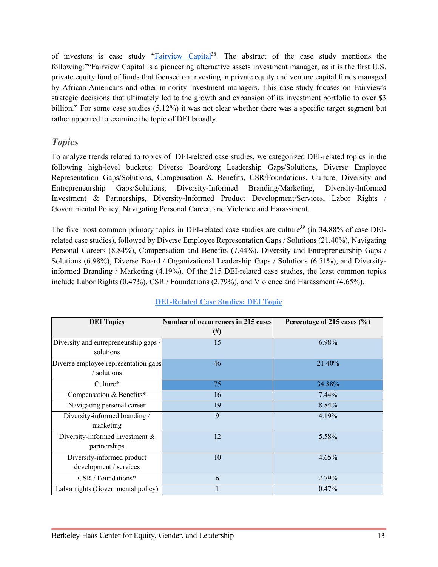of investors is case study "Fairview Capital<sup>38</sup>. The abstract of the case study mentions the following:""Fairview Capital is a pioneering alternative assets investment manager, as it is the first U.S. private equity fund of funds that focused on investing in private equity and venture capital funds managed by African-Americans and other minority investment managers. This case study focuses on Fairview's strategic decisions that ultimately led to the growth and expansion of its investment portfolio to over \$3 billion." For some case studies (5.12%) it was not clear whether there was a specific target segment but rather appeared to examine the topic of DEI broadly.

# *Topics*

To analyze trends related to topics of DEI-related case studies, we categorized DEI-related topics in the following high-level buckets: Diverse Board/org Leadership Gaps/Solutions, Diverse Employee Representation Gaps/Solutions, Compensation & Benefits, CSR/Foundations, Culture, Diversity and Entrepreneurship Gaps/Solutions, Diversity-Informed Branding/Marketing, Diversity-Informed Investment & Partnerships, Diversity-Informed Product Development/Services, Labor Rights / Governmental Policy, Navigating Personal Career, and Violence and Harassment.

The five most common primary topics in DEI-related case studies are culture*<sup>39</sup>* (in 34.88% of case DEIrelated case studies), followed by Diverse Employee Representation Gaps / Solutions (21.40%), Navigating Personal Careers (8.84%), Compensation and Benefits (7.44%), Diversity and Entrepreneurship Gaps / Solutions (6.98%), Diverse Board / Organizational Leadership Gaps / Solutions (6.51%), and Diversityinformed Branding / Marketing (4.19%). Of the 215 DEI-related case studies, the least common topics include Labor Rights (0.47%), CSR / Foundations (2.79%), and Violence and Harassment (4.65%).

| <b>DEI</b> Topics                                    | Number of occurrences in 215 cases<br>#) | Percentage of 215 cases (%) |
|------------------------------------------------------|------------------------------------------|-----------------------------|
| Diversity and entrepreneurship gaps /<br>solutions   | 15                                       | 6.98%                       |
| Diverse employee representation gaps<br>/ solutions  | 46                                       | 21.40%                      |
| Culture*                                             | 75                                       | 34.88%                      |
| Compensation & Benefits*                             | 16                                       | $7.44\%$                    |
| Navigating personal career                           | 19                                       | 8.84%                       |
| Diversity-informed branding /<br>marketing           | 9                                        | 4.19%                       |
| Diversity-informed investment $\&$<br>partnerships   | 12                                       | 5.58%                       |
| Diversity-informed product<br>development / services | 10                                       | 4.65%                       |
| CSR / Foundations*                                   | 6                                        | 2.79%                       |
| Labor rights (Governmental policy)                   |                                          | 0.47%                       |

## **DEI-Related Case Studies: DEI Topic**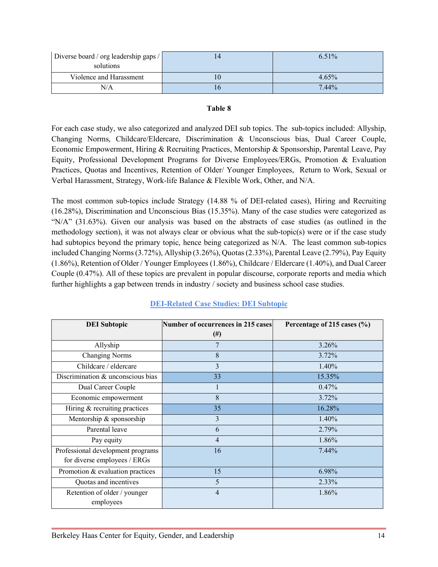| Diverse board / org leadership gaps / | 6.51% |
|---------------------------------------|-------|
| solutions                             |       |
| Violence and Harassment               | 4.65% |
| N/A                                   | 7.44% |

#### **Table 8**

For each case study, we also categorized and analyzed DEI sub topics. The sub-topics included: Allyship, Changing Norms, Childcare/Eldercare, Discrimination & Unconscious bias, Dual Career Couple, Economic Empowerment, Hiring & Recruiting Practices, Mentorship & Sponsorship, Parental Leave, Pay Equity, Professional Development Programs for Diverse Employees/ERGs, Promotion & Evaluation Practices, Quotas and Incentives, Retention of Older/ Younger Employees, Return to Work, Sexual or Verbal Harassment, Strategy, Work-life Balance & Flexible Work, Other, and N/A.

The most common sub-topics include Strategy (14.88 % of DEI-related cases), Hiring and Recruiting (16.28%), Discrimination and Unconscious Bias (15.35%). Many of the case studies were categorized as "N/A" (31.63%). Given our analysis was based on the abstracts of case studies (as outlined in the methodology section), it was not always clear or obvious what the sub-topic(s) were or if the case study had subtopics beyond the primary topic, hence being categorized as N/A. The least common sub-topics included Changing Norms (3.72%), Allyship (3.26%), Quotas (2.33%), Parental Leave (2.79%), Pay Equity (1.86%), Retention of Older / Younger Employees (1.86%), Childcare / Eldercare (1.40%), and Dual Career Couple (0.47%). All of these topics are prevalent in popular discourse, corporate reports and media which further highlights a gap between trends in industry / society and business school case studies.

| <b>DEI</b> Subtopic                                               | <b>Number of occurrences in 215 cases</b><br>$^{(#)}$ | Percentage of 215 cases $(\% )$ |
|-------------------------------------------------------------------|-------------------------------------------------------|---------------------------------|
| Allyship                                                          | 7                                                     | $3.26\%$                        |
| <b>Changing Norms</b>                                             | 8                                                     | 3.72%                           |
| Childcare / eldercare                                             | 3                                                     | 1.40%                           |
| Discrimination $&$ unconscious bias                               | 33                                                    | 15.35%                          |
| Dual Career Couple                                                |                                                       | 0.47%                           |
| Economic empowerment                                              | 8                                                     | 3.72%                           |
| Hiring $&$ recruiting practices                                   | 35                                                    | 16.28%                          |
| Mentorship & sponsorship                                          | 3                                                     | 1.40%                           |
| Parental leave                                                    | 6                                                     | 2.79%                           |
| Pay equity                                                        | 4                                                     | 1.86%                           |
| Professional development programs<br>for diverse employees / ERGs | 16                                                    | $7.44\%$                        |
| Promotion $&$ evaluation practices                                | 15                                                    | 6.98%                           |
| Quotas and incentives                                             | 5                                                     | 2.33%                           |
| Retention of older / younger<br>employees                         | $\overline{4}$                                        | 1.86%                           |

## **DEI-Related Case Studies: DEI Subtopic**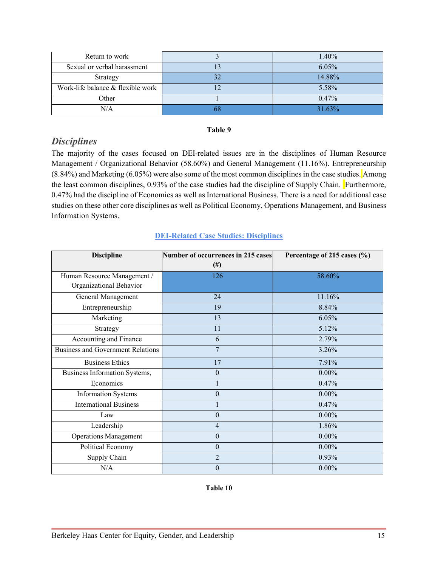| Return to work                    | 1.40%  |
|-----------------------------------|--------|
| Sexual or verbal harassment       | 6.05%  |
| Strategy                          | 14.88% |
| Work-life balance & flexible work | 5.58%  |
| Other                             | 0.47%  |
| N/A                               | 31.63% |

#### **Table 9**

## *Disciplines*

The majority of the cases focused on DEI-related issues are in the disciplines of Human Resource Management / Organizational Behavior (58.60%) and General Management (11.16%). Entrepreneurship (8.84%) and Marketing (6.05%) were also some of the most common disciplines in the case studies. Among the least common disciplines, 0.93% of the case studies had the discipline of Supply Chain. Furthermore, 0.47% had the discipline of Economics as well as International Business. There is a need for additional case studies on these other core disciplines as well as Political Economy, Operations Management, and Business Information Systems.

## **DEI-Related Case Studies: Disciplines**

| <b>Discipline</b>                        | <b>Number of occurrences in 215 cases</b> | Percentage of 215 cases (%) |
|------------------------------------------|-------------------------------------------|-----------------------------|
|                                          | $^{(#)}$                                  |                             |
| Human Resource Management /              | 126                                       | 58.60%                      |
| Organizational Behavior                  |                                           |                             |
| General Management                       | 24                                        | 11.16%                      |
| Entrepreneurship                         | 19                                        | 8.84%                       |
| Marketing                                | 13                                        | 6.05%                       |
| Strategy                                 | 11                                        | 5.12%                       |
| Accounting and Finance                   | 6                                         | 2.79%                       |
| <b>Business and Government Relations</b> | 7                                         | 3.26%                       |
| <b>Business Ethics</b>                   | 17                                        | 7.91%                       |
| Business Information Systems,            | $\theta$                                  | $0.00\%$                    |
| Economics                                |                                           | 0.47%                       |
| <b>Information Systems</b>               | $\theta$                                  | $0.00\%$                    |
| <b>International Business</b>            |                                           | 0.47%                       |
| Law                                      | $\theta$                                  | $0.00\%$                    |
| Leadership                               | 4                                         | 1.86%                       |
| <b>Operations Management</b>             | $\theta$                                  | $0.00\%$                    |
| Political Economy                        | $\theta$                                  | $0.00\%$                    |
| Supply Chain                             | $\overline{2}$                            | 0.93%                       |
| N/A                                      | $\theta$                                  | $0.00\%$                    |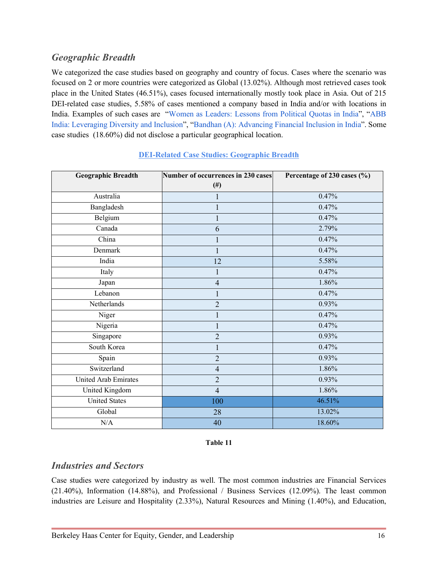# *Geographic Breadth*

We categorized the case studies based on geography and country of focus. Cases where the scenario was focused on 2 or more countries were categorized as Global (13.02%). Although most retrieved cases took place in the United States (46.51%), cases focused internationally mostly took place in Asia. Out of 215 DEI-related case studies, 5.58% of cases mentioned a company based in India and/or with locations in India. Examples of such cases are "Women as Leaders: Lessons from Political Quotas in India", "ABB India: Leveraging Diversity and Inclusion", "Bandhan (A): Advancing Financial Inclusion in India". Some case studies (18.60%) did not disclose a particular geographical location.

| <b>Geographic Breadth</b>   | Number of occurrences in 230 cases | Percentage of 230 cases (%) |  |
|-----------------------------|------------------------------------|-----------------------------|--|
|                             | $(\#)$                             |                             |  |
| Australia                   |                                    | 0.47%                       |  |
| Bangladesh                  |                                    | 0.47%                       |  |
| Belgium                     |                                    | 0.47%                       |  |
| Canada                      | 6                                  | 2.79%                       |  |
| China                       |                                    | 0.47%                       |  |
| Denmark                     | 1                                  | 0.47%                       |  |
| India                       | 12                                 | 5.58%                       |  |
| Italy                       | 1                                  | 0.47%                       |  |
| Japan                       | $\overline{4}$                     | 1.86%                       |  |
| Lebanon                     | 1                                  | 0.47%                       |  |
| Netherlands                 | $\overline{2}$                     | 0.93%                       |  |
| Niger                       |                                    | 0.47%                       |  |
| Nigeria                     |                                    | 0.47%                       |  |
| Singapore                   | $\overline{2}$                     | 0.93%                       |  |
| South Korea                 |                                    | 0.47%                       |  |
| Spain                       | $\overline{2}$                     | 0.93%                       |  |
| Switzerland                 | $\overline{4}$                     | 1.86%                       |  |
| <b>United Arab Emirates</b> | $\overline{2}$                     | 0.93%                       |  |
| United Kingdom              | $\overline{4}$                     | 1.86%                       |  |
| <b>United States</b>        | 100                                | 46.51%                      |  |
| Global                      | 28                                 | 13.02%                      |  |
| N/A                         | 40                                 | 18.60%                      |  |

## **DEI-Related Case Studies: Geographic Breadth**

#### **Table 11**

## *Industries and Sectors*

Case studies were categorized by industry as well. The most common industries are Financial Services (21.40%), Information (14.88%), and Professional / Business Services (12.09%). The least common industries are Leisure and Hospitality (2.33%), Natural Resources and Mining (1.40%), and Education,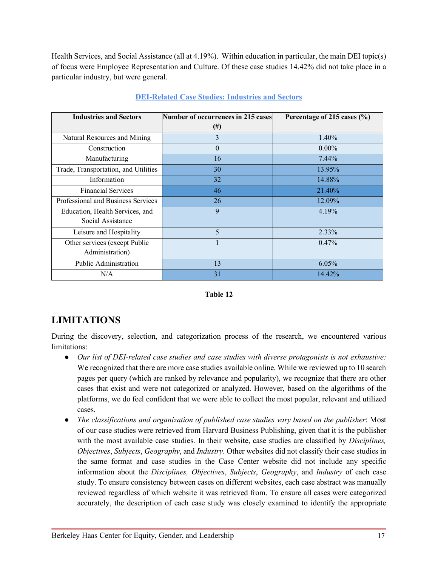Health Services, and Social Assistance (all at 4.19%). Within education in particular, the main DEI topic(s) of focus were Employee Representation and Culture. Of these case studies 14.42% did not take place in a particular industry, but were general.

| <b>Industries and Sectors</b>                        | <b>Number of occurrences in 215 cases</b> | Percentage of 215 cases $(\% )$ |  |  |
|------------------------------------------------------|-------------------------------------------|---------------------------------|--|--|
|                                                      | $^{(#)}$                                  |                                 |  |  |
| Natural Resources and Mining                         | 3                                         | $1.40\%$                        |  |  |
| Construction                                         | $\theta$                                  | $0.00\%$                        |  |  |
| Manufacturing                                        | 16                                        | 7.44%                           |  |  |
| Trade, Transportation, and Utilities                 | 30                                        | 13.95%                          |  |  |
| Information                                          | 32                                        | 14.88%                          |  |  |
| <b>Financial Services</b>                            | 46                                        | 21.40%                          |  |  |
| Professional and Business Services                   | 26                                        | 12.09%                          |  |  |
| Education, Health Services, and<br>Social Assistance | $\mathbf{Q}$                              | 4.19%                           |  |  |
| Leisure and Hospitality                              | 5                                         | $2.33\%$                        |  |  |
| Other services (except Public<br>Administration)     |                                           | $0.47\%$                        |  |  |
| Public Administration                                | 13                                        | 6.05%                           |  |  |
| N/A                                                  | 31                                        | 14.42%                          |  |  |

## **DEI-Related Case Studies: Industries and Sectors**

#### **Table 12**

# **LIMITATIONS**

During the discovery, selection, and categorization process of the research, we encountered various limitations:

- *Our list of DEI-related case studies and case studies with diverse protagonists is not exhaustive:*  We recognized that there are more case studies available online. While we reviewed up to 10 search pages per query (which are ranked by relevance and popularity), we recognize that there are other cases that exist and were not categorized or analyzed. However, based on the algorithms of the platforms, we do feel confident that we were able to collect the most popular, relevant and utilized cases.
- *The classifications and organization of published case studies vary based on the publisher*: Most of our case studies were retrieved from Harvard Business Publishing, given that it is the publisher with the most available case studies. In their website, case studies are classified by *Disciplines, Objectives*, *Subjects*, *Geography*, and *Industry*. Other websites did not classify their case studies in the same format and case studies in the Case Center website did not include any specific information about the *Disciplines, Objectives*, *Subjects*, *Geography*, and *Industry* of each case study. To ensure consistency between cases on different websites, each case abstract was manually reviewed regardless of which website it was retrieved from. To ensure all cases were categorized accurately, the description of each case study was closely examined to identify the appropriate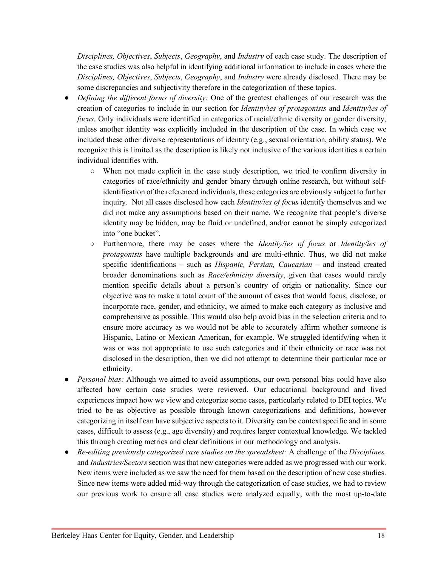*Disciplines, Objectives*, *Subjects*, *Geography*, and *Industry* of each case study. The description of the case studies was also helpful in identifying additional information to include in cases where the *Disciplines, Objectives*, *Subjects*, *Geography*, and *Industry* were already disclosed. There may be some discrepancies and subjectivity therefore in the categorization of these topics.

- *Defining the different forms of diversity:* One of the greatest challenges of our research was the creation of categories to include in our section for *Identity/ies of protagonists* and *Identity/ies of focus.* Only individuals were identified in categories of racial/ethnic diversity or gender diversity, unless another identity was explicitly included in the description of the case. In which case we included these other diverse representations of identity (e.g., sexual orientation, ability status). We recognize this is limited as the description is likely not inclusive of the various identities a certain individual identifies with.
	- When not made explicit in the case study description, we tried to confirm diversity in categories of race/ethnicity and gender binary through online research, but without selfidentification of the referenced individuals, these categories are obviously subject to further inquiry. Not all cases disclosed how each *Identity/ies of focus* identify themselves and we did not make any assumptions based on their name. We recognize that people's diverse identity may be hidden, may be fluid or undefined, and/or cannot be simply categorized into "one bucket".
	- Furthermore, there may be cases where the *Identity/ies of focus* or *Identity/ies of protagonists* have multiple backgrounds and are multi-ethnic. Thus, we did not make specific identifications – such as *Hispanic, Persian, Caucasian* – and instead created broader denominations such as *Race/ethnicity diversity*, given that cases would rarely mention specific details about a person's country of origin or nationality. Since our objective was to make a total count of the amount of cases that would focus, disclose, or incorporate race, gender, and ethnicity, we aimed to make each category as inclusive and comprehensive as possible. This would also help avoid bias in the selection criteria and to ensure more accuracy as we would not be able to accurately affirm whether someone is Hispanic, Latino or Mexican American, for example. We struggled identify/ing when it was or was not appropriate to use such categories and if their ethnicity or race was not disclosed in the description, then we did not attempt to determine their particular race or ethnicity.
- *Personal bias:* Although we aimed to avoid assumptions, our own personal bias could have also affected how certain case studies were reviewed. Our educational background and lived experiences impact how we view and categorize some cases, particularly related to DEI topics. We tried to be as objective as possible through known categorizations and definitions, however categorizing in itself can have subjective aspects to it. Diversity can be context specific and in some cases, difficult to assess (e.g., age diversity) and requires larger contextual knowledge. We tackled this through creating metrics and clear definitions in our methodology and analysis.
- *Re-editing previously categorized case studies on the spreadsheet:* A challenge of the *Disciplines,*  and *Industries/Sectors* section was that new categories were added as we progressed with our work. New items were included as we saw the need for them based on the description of new case studies. Since new items were added mid-way through the categorization of case studies, we had to review our previous work to ensure all case studies were analyzed equally, with the most up-to-date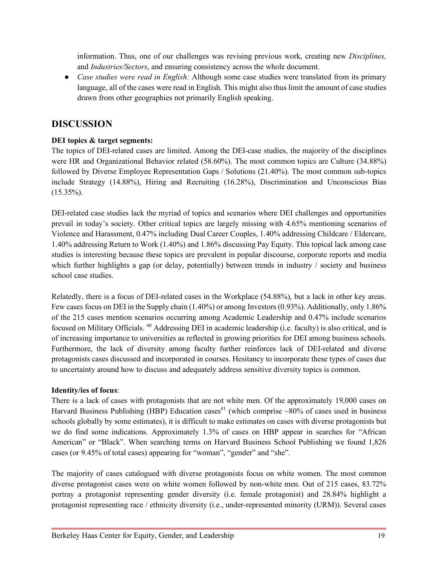information. Thus, one of our challenges was revising previous work, creating new *Disciplines,*  and *Industries/Sectors*, and ensuring consistency across the whole document.

• *Case studies were read in English:* Although some case studies were translated from its primary language, all of the cases were read in English. This might also thus limit the amount of case studies drawn from other geographies not primarily English speaking.

## **DISCUSSION**

## **DEI topics & target segments:**

The topics of DEI-related cases are limited. Among the DEI-case studies, the majority of the disciplines were HR and Organizational Behavior related (58.60%). The most common topics are Culture (34.88%) followed by Diverse Employee Representation Gaps / Solutions (21.40%). The most common sub-topics include Strategy (14.88%), Hiring and Recruiting (16.28%), Discrimination and Unconscious Bias  $(15.35\%)$ .

DEI-related case studies lack the myriad of topics and scenarios where DEI challenges and opportunities prevail in today's society. Other critical topics are largely missing with 4.65% mentioning scenarios of Violence and Harassment, 0.47% including Dual Career Couples, 1.40% addressing Childcare / Eldercare, 1.40% addressing Return to Work (1.40%) and 1.86% discussing Pay Equity. This topical lack among case studies is interesting because these topics are prevalent in popular discourse, corporate reports and media which further highlights a gap (or delay, potentially) between trends in industry / society and business school case studies.

Relatedly, there is a focus of DEI-related cases in the Workplace (54.88%), but a lack in other key areas. Few cases focus on DEI in the Supply chain (1.40%) or among Investors (0.93%). Additionally, only 1.86% of the 215 cases mention scenarios occurring among Academic Leadership and 0.47% include scenarios focused on Military Officials. 40 Addressing DEI in academic leadership (i.e. faculty) is also critical, and is of increasing importance to universities as reflected in growing priorities for DEI among business schools. Furthermore, the lack of diversity among faculty further reinforces lack of DEI-related and diverse protagonists cases discussed and incorporated in courses. Hesitancy to incorporate these types of cases due to uncertainty around how to discuss and adequately address sensitive diversity topics is common.

## **Identity/ies of focus**:

There is a lack of cases with protagonists that are not white men. Of the approximately 19,000 cases on Harvard Business Publishing (HBP) Education cases<sup>41</sup> (which comprise  $\sim 80\%$  of cases used in business schools globally by some estimates), it is difficult to make estimates on cases with diverse protagonists but we do find some indications. Approximately 1.3% of cases on HBP appear in searches for "African American" or "Black". When searching terms on Harvard Business School Publishing we found 1,826 cases (or 9.45% of total cases) appearing for "woman", "gender" and "she".

The majority of cases catalogued with diverse protagonists focus on white women. The most common diverse protagonist cases were on white women followed by non-white men. Out of 215 cases, 83.72% portray a protagonist representing gender diversity (i.e. female protagonist) and 28.84% highlight a protagonist representing race / ethnicity diversity (i.e., under-represented minority (URM)). Several cases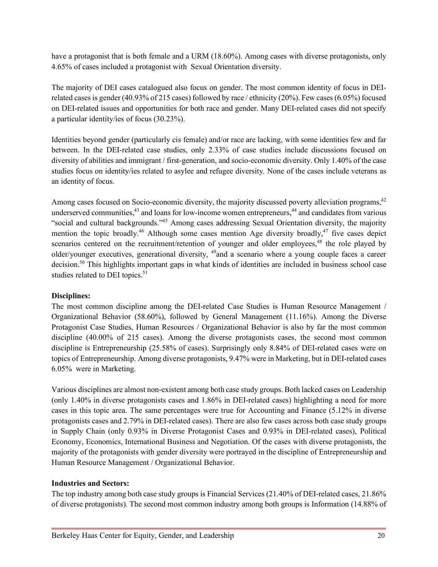have a protagonist that is both female and a URM (18.60%). Among cases with diverse protagonists, only 4.65% of cases included a protagonist with Sexual Orientation diversity.

The majority of DEI cases catalogued also focus on gender. The most common identity of focus in DEIrelated cases is gender (40.93% of 215 cases) followed by race / ethnicity (20%). Few cases (6.05%) focused on DEI-related issues and opportunities for both race and gender. Many DEI-related cases did not specify a particular identity/ies of focus (30.23%).

Identities beyond gender (particularly cis female) and/or race are lacking, with some identities few and far between. In the DEI-related case studies, only 2.33% of case studies include discussions focused on diversity of abilities and immigrant / first-generation, and socio-economic diversity. Only 1.40% of the case studies focus on identity/ies related to asylee and refugee diversity*.* None of the cases include veterans as an identity of focus.

Among cases focused on Socio-economic diversity, the majority discussed poverty alleviation programs,<sup>42</sup> underserved communities,<sup>43</sup> and loans for low-income women entrepreneurs,<sup>44</sup> and candidates from various "social and cultural backgrounds."45 Among cases addressing Sexual Orientation diversity, the majority mention the topic broadly.<sup>46</sup> Although some cases mention Age diversity broadly,<sup>47</sup> five cases depict scenarios centered on the recruitment/retention of younger and older employees,<sup>48</sup> the role played by older/younger executives, generational diversity, 49and a scenario where a young couple faces a career decision.50 This highlights important gaps in what kinds of identities are included in business school case studies related to DEI topics.<sup>51</sup>

## **Disciplines:**

The most common discipline among the DEI-related Case Studies is Human Resource Management / Organizational Behavior (58.60%), followed by General Management (11.16%). Among the Diverse Protagonist Case Studies, Human Resources / Organizational Behavior is also by far the most common discipline (40.00% of 215 cases). Among the diverse protagonists cases, the second most common discipline is Entrepreneurship (25.58% of cases). Surprisingly only 8.84% of DEI-related cases were on topics of Entrepreneurship. Among diverse protagonists, 9.47% were in Marketing, but in DEI-related cases 6.05% were in Marketing.

Various disciplines are almost non-existent among both case study groups. Both lacked cases on Leadership (only 1.40% in diverse protagonists cases and 1.86% in DEI-related cases) highlighting a need for more cases in this topic area. The same percentages were true for Accounting and Finance (5.12% in diverse protagonists cases and 2.79% in DEI-related cases). There are also few cases across both case study groups in Supply Chain (only 0.93% in Diverse Protagonist Cases and 0.93% in DEI-related cases), Political Economy, Economics, International Business and Negotiation. Of the cases with diverse protagonists, the majority of the protagonists with gender diversity were portrayed in the discipline of Entrepreneurship and Human Resource Management / Organizational Behavior.

#### **Industries and Sectors:**

The top industry among both case study groups is Financial Services (21.40% of DEI-related cases, 21.86% of diverse protagonists). The second most common industry among both groups is Information (14.88% of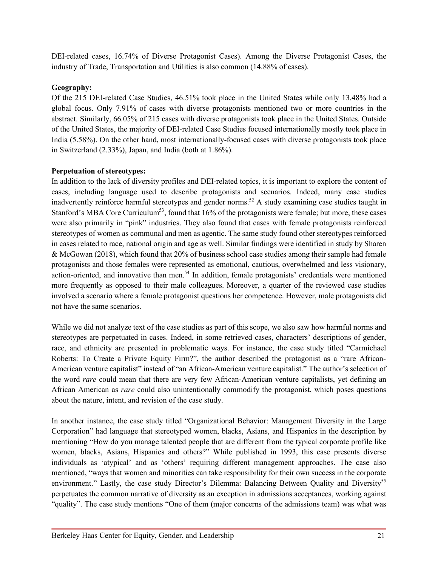DEI-related cases, 16.74% of Diverse Protagonist Cases). Among the Diverse Protagonist Cases, the industry of Trade, Transportation and Utilities is also common (14.88% of cases).

## **Geography:**

Of the 215 DEI-related Case Studies, 46.51% took place in the United States while only 13.48% had a global focus. Only 7.91% of cases with diverse protagonists mentioned two or more countries in the abstract. Similarly, 66.05% of 215 cases with diverse protagonists took place in the United States. Outside of the United States, the majority of DEI-related Case Studies focused internationally mostly took place in India (5.58%). On the other hand, most internationally-focused cases with diverse protagonists took place in Switzerland (2.33%), Japan, and India (both at 1.86%).

## **Perpetuation of stereotypes:**

In addition to the lack of diversity profiles and DEI-related topics, it is important to explore the content of cases, including language used to describe protagonists and scenarios. Indeed, many case studies inadvertently reinforce harmful stereotypes and gender norms.<sup>52</sup> A study examining case studies taught in Stanford's MBA Core Curriculum<sup>53</sup>, found that 16% of the protagonists were female; but more, these cases were also primarily in "pink" industries. They also found that cases with female protagonists reinforced stereotypes of women as communal and men as agentic. The same study found other stereotypes reinforced in cases related to race, national origin and age as well. Similar findings were identified in study by Sharen & McGowan (2018), which found that 20% of business school case studies among their sample had female protagonists and those females were represented as emotional, cautious, overwhelmed and less visionary, action-oriented, and innovative than men.<sup>54</sup> In addition, female protagonists' credentials were mentioned more frequently as opposed to their male colleagues. Moreover, a quarter of the reviewed case studies involved a scenario where a female protagonist questions her competence. However, male protagonists did not have the same scenarios.

While we did not analyze text of the case studies as part of this scope, we also saw how harmful norms and stereotypes are perpetuated in cases. Indeed, in some retrieved cases, characters' descriptions of gender, race, and ethnicity are presented in problematic ways. For instance, the case study titled "Carmichael Roberts: To Create a Private Equity Firm?", the author described the protagonist as a "rare African-American venture capitalist" instead of "an African-American venture capitalist." The author's selection of the word *rare* could mean that there are very few African-American venture capitalists, yet defining an African American as *rare* could also unintentionally commodify the protagonist, which poses questions about the nature, intent, and revision of the case study.

In another instance, the case study titled "Organizational Behavior: Management Diversity in the Large Corporation" had language that stereotyped women, blacks, Asians, and Hispanics in the description by mentioning "How do you manage talented people that are different from the typical corporate profile like women, blacks, Asians, Hispanics and others?" While published in 1993, this case presents diverse individuals as 'atypical' and as 'others' requiring different management approaches. The case also mentioned, "ways that women and minorities can take responsibility for their own success in the corporate environment." Lastly, the case study Director's Dilemma: Balancing Between Quality and Diversity<sup>55</sup> perpetuates the common narrative of diversity as an exception in admissions acceptances, working against "quality". The case study mentions "One of them (major concerns of the admissions team) was what was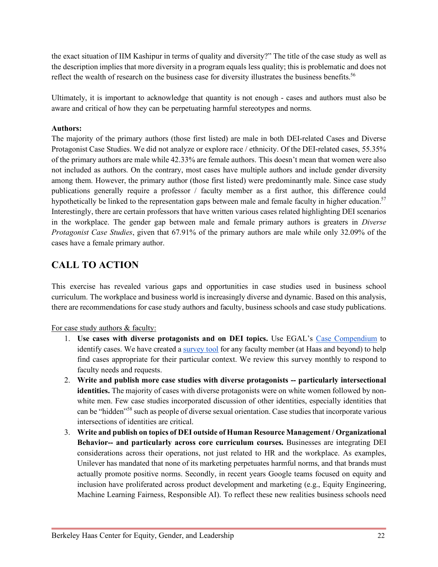the exact situation of IIM Kashipur in terms of quality and diversity?" The title of the case study as well as the description implies that more diversity in a program equals less quality; this is problematic and does not reflect the wealth of research on the business case for diversity illustrates the business benefits.<sup>56</sup>

Ultimately, it is important to acknowledge that quantity is not enough - cases and authors must also be aware and critical of how they can be perpetuating harmful stereotypes and norms.

## **Authors:**

The majority of the primary authors (those first listed) are male in both DEI-related Cases and Diverse Protagonist Case Studies. We did not analyze or explore race / ethnicity. Of the DEI-related cases, 55.35% of the primary authors are male while 42.33% are female authors. This doesn't mean that women were also not included as authors. On the contrary, most cases have multiple authors and include gender diversity among them. However, the primary author (those first listed) were predominantly male. Since case study publications generally require a professor / faculty member as a first author, this difference could hypothetically be linked to the representation gaps between male and female faculty in higher education.<sup>57</sup> Interestingly, there are certain professors that have written various cases related highlighting DEI scenarios in the workplace. The gender gap between male and female primary authors is greaters in *Diverse Protagonist Case Studies*, given that 67.91% of the primary authors are male while only 32.09% of the cases have a female primary author.

# **CALL TO ACTION**

This exercise has revealed various gaps and opportunities in case studies used in business school curriculum. The workplace and business world is increasingly diverse and dynamic. Based on this analysis, there are recommendations for case study authors and faculty, business schools and case study publications.

For case study authors & faculty:

- 1. **Use cases with diverse protagonists and on DEI topics.** Use EGAL's Case Compendium to identify cases. We have created a survey tool for any faculty member (at Haas and beyond) to help find cases appropriate for their particular context. We review this survey monthly to respond to faculty needs and requests.
- 2. **Write and publish more case studies with diverse protagonists -- particularly intersectional identities.** The majority of cases with diverse protagonists were on white women followed by nonwhite men. Few case studies incorporated discussion of other identities, especially identities that can be "hidden"58 such as people of diverse sexual orientation. Case studies that incorporate various intersections of identities are critical.
- 3. **Write and publish on topics of DEI outside of Human Resource Management / Organizational Behavior-- and particularly across core curriculum courses.** Businesses are integrating DEI considerations across their operations, not just related to HR and the workplace. As examples, Unilever has mandated that none of its marketing perpetuates harmful norms, and that brands must actually promote positive norms. Secondly, in recent years Google teams focused on equity and inclusion have proliferated across product development and marketing (e.g., Equity Engineering, Machine Learning Fairness, Responsible AI). To reflect these new realities business schools need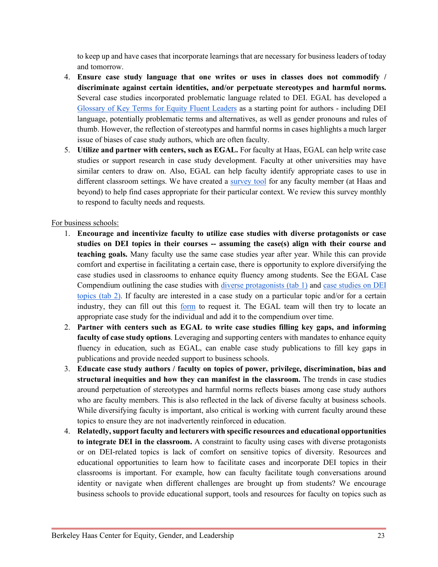to keep up and have cases that incorporate learnings that are necessary for business leaders of today and tomorrow.

- 4. **Ensure case study language that one writes or uses in classes does not commodify / discriminate against certain identities, and/or perpetuate stereotypes and harmful norms.** Several case studies incorporated problematic language related to DEI. EGAL has developed a Glossary of Key Terms for Equity Fluent Leaders as a starting point for authors - including DEI language, potentially problematic terms and alternatives, as well as gender pronouns and rules of thumb. However, the reflection of stereotypes and harmful norms in cases highlights a much larger issue of biases of case study authors, which are often faculty.
- 5. **Utilize and partner with centers, such as EGAL.** For faculty at Haas, EGAL can help write case studies or support research in case study development. Faculty at other universities may have similar centers to draw on. Also, EGAL can help faculty identify appropriate cases to use in different classroom settings. We have created a survey tool for any faculty member (at Haas and beyond) to help find cases appropriate for their particular context. We review this survey monthly to respond to faculty needs and requests.

## For business schools:

- 1. **Encourage and incentivize faculty to utilize case studies with diverse protagonists or case studies on DEI topics in their courses -- assuming the case(s) align with their course and teaching goals.** Many faculty use the same case studies year after year. While this can provide comfort and expertise in facilitating a certain case, there is opportunity to explore diversifying the case studies used in classrooms to enhance equity fluency among students. See the EGAL Case Compendium outlining the case studies with diverse protagonists (tab 1) and case studies on DEI topics (tab 2). If faculty are interested in a case study on a particular topic and/or for a certain industry, they can fill out this form to request it. The EGAL team will then try to locate an appropriate case study for the individual and add it to the compendium over time.
- 2. **Partner with centers such as EGAL to write case studies filling key gaps, and informing faculty of case study options**. Leveraging and supporting centers with mandates to enhance equity fluency in education, such as EGAL, can enable case study publications to fill key gaps in publications and provide needed support to business schools.
- 3. **Educate case study authors / faculty on topics of power, privilege, discrimination, bias and structural inequities and how they can manifest in the classroom.** The trends in case studies around perpetuation of stereotypes and harmful norms reflects biases among case study authors who are faculty members. This is also reflected in the lack of diverse faculty at business schools. While diversifying faculty is important, also critical is working with current faculty around these topics to ensure they are not inadvertently reinforced in education.
- 4. **Relatedly, support faculty and lecturers with specific resources and educational opportunities to integrate DEI in the classroom.** A constraint to faculty using cases with diverse protagonists or on DEI-related topics is lack of comfort on sensitive topics of diversity. Resources and educational opportunities to learn how to facilitate cases and incorporate DEI topics in their classrooms is important. For example, how can faculty facilitate tough conversations around identity or navigate when different challenges are brought up from students? We encourage business schools to provide educational support, tools and resources for faculty on topics such as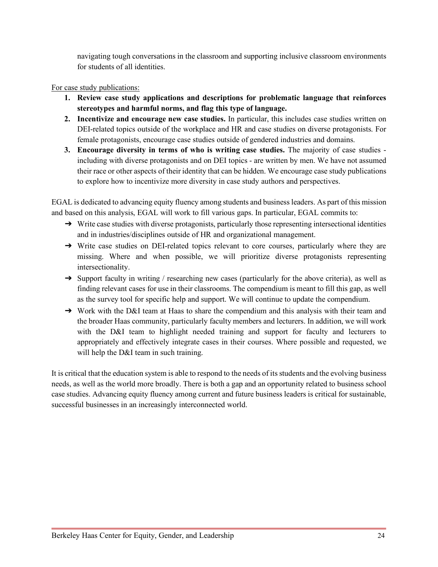navigating tough conversations in the classroom and supporting inclusive classroom environments for students of all identities.

## For case study publications:

- **1. Review case study applications and descriptions for problematic language that reinforces stereotypes and harmful norms, and flag this type of language.**
- **2. Incentivize and encourage new case studies.** In particular, this includes case studies written on DEI-related topics outside of the workplace and HR and case studies on diverse protagonists. For female protagonists, encourage case studies outside of gendered industries and domains.
- **3. Encourage diversity in terms of who is writing case studies.** The majority of case studies including with diverse protagonists and on DEI topics - are written by men. We have not assumed their race or other aspects of their identity that can be hidden. We encourage case study publications to explore how to incentivize more diversity in case study authors and perspectives.

EGAL is dedicated to advancing equity fluency among students and business leaders. As part of this mission and based on this analysis, EGAL will work to fill various gaps. In particular, EGAL commits to:

- → Write case studies with diverse protagonists, particularly those representing intersectional identities and in industries/disciplines outside of HR and organizational management.
- → Write case studies on DEI-related topics relevant to core courses, particularly where they are missing. Where and when possible, we will prioritize diverse protagonists representing intersectionality.
- → Support faculty in writing / researching new cases (particularly for the above criteria), as well as finding relevant cases for use in their classrooms. The compendium is meant to fill this gap, as well as the survey tool for specific help and support. We will continue to update the compendium.
- → Work with the D&I team at Haas to share the compendium and this analysis with their team and the broader Haas community, particularly faculty members and lecturers. In addition, we will work with the D&I team to highlight needed training and support for faculty and lecturers to appropriately and effectively integrate cases in their courses. Where possible and requested, we will help the D&I team in such training.

It is critical that the education system is able to respond to the needs of its students and the evolving business needs, as well as the world more broadly. There is both a gap and an opportunity related to business school case studies. Advancing equity fluency among current and future business leaders is critical for sustainable, successful businesses in an increasingly interconnected world.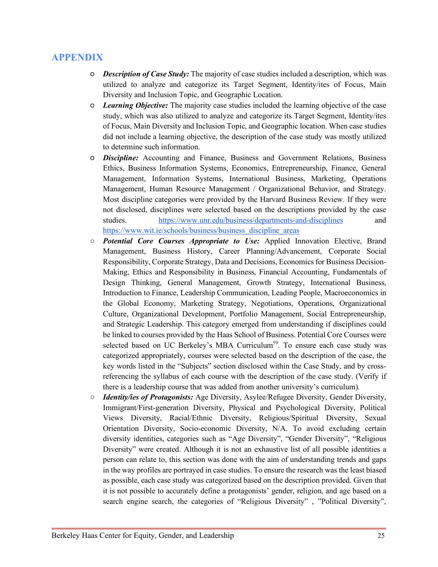# **APPENDIX**

- *Description of Case Study:* The majority of case studies included a description, which was utilized to analyze and categorize its Target Segment, Identity/ites of Focus, Main Diversity and Inclusion Topic, and Geographic Location.
- *Learning Objective:* The majority case studies included the learning objective of the case study, which was also utilized to analyze and categorize its Target Segment, Identity/ites of Focus, Main Diversity and Inclusion Topic, and Geographic location. When case studies did not include a learning objective, the description of the case study was mostly utilized to determine such information.
- *Discipline:* Accounting and Finance, Business and Government Relations, Business Ethics, Business Information Systems, Economics, Entrepreneurship, Finance, General Management, Information Systems, International Business, Marketing, Operations Management, Human Resource Management / Organizational Behavior, and Strategy. Most discipline categories were provided by the Harvard Business Review. If they were not disclosed, disciplines were selected based on the descriptions provided by the case studies. https://www.unr.edu/business/departments-and-disciplines and https://www.wit.ie/schools/business/business\_discipline\_areas
- *Potential Core Courses Appropriate to Use:* Applied Innovation Elective, Brand Management, Business History, Career Planning/Advancement, Corporate Social Responsibility, Corporate Strategy, Data and Decisions, Economics for Business Decision-Making, Ethics and Responsibility in Business, Financial Accounting, Fundamentals of Design Thinking, General Management, Growth Strategy, International Business, Introduction to Finance, Leadership Communication, Leading People, Macroeconomics in the Global Economy, Marketing Strategy, Negotiations, Operations, Organizational Culture, Organizational Development, Portfolio Management, Social Entrepreneurship, and Strategic Leadership. This category emerged from understanding if disciplines could be linked to courses provided by the Haas School of Business. Potential Core Courses were selected based on UC Berkeley's MBA Curriculum<sup>59</sup>. To ensure each case study was categorized appropriately, courses were selected based on the description of the case, the key words listed in the "Subjects" section disclosed within the Case Study, and by crossreferencing the syllabus of each course with the description of the case study. (Verify if there is a leadership course that was added from another university's curriculum).
- *Identity/ies of Protagonists:* Age Diversity, Asylee/Refugee Diversity, Gender Diversity, Immigrant/First-generation Diversity, Physical and Psychological Diversity, Political Views Diversity, Racial/Ethnic Diversity, Religious/Spiritual Diversity, Sexual Orientation Diversity, Socio-economic Diversity, N/A. To avoid excluding certain diversity identities, categories such as "Age Diversity", "Gender Diversity", "Religious Diversity" were created. Although it is not an exhaustive list of all possible identities a person can relate to, this section was done with the aim of understanding trends and gaps in the way profiles are portrayed in case studies. To ensure the research was the least biased as possible, each case study was categorized based on the description provided. Given that it is not possible to accurately define a protagonists' gender, religion, and age based on a search engine search, the categories of "Religious Diversity" , "Political Diversity",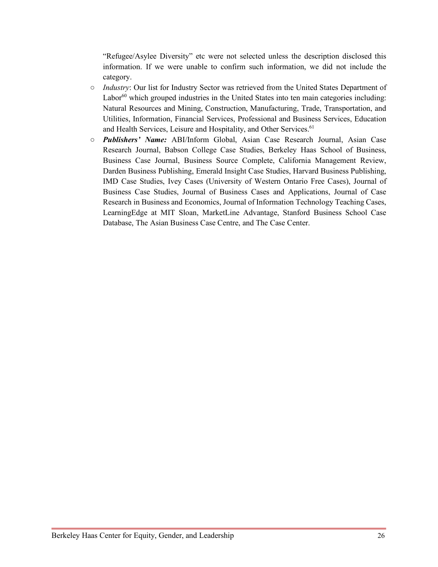"Refugee/Asylee Diversity" etc were not selected unless the description disclosed this information. If we were unable to confirm such information, we did not include the category.

- *Industry*: Our list for Industry Sector was retrieved from the United States Department of Labor $^{60}$  which grouped industries in the United States into ten main categories including: Natural Resources and Mining, Construction, Manufacturing, Trade, Transportation, and Utilities, Information, Financial Services, Professional and Business Services, Education and Health Services, Leisure and Hospitality, and Other Services.<sup>61</sup>
- *Publishers' Name:* ABI/Inform Global, Asian Case Research Journal, Asian Case Research Journal, Babson College Case Studies, Berkeley Haas School of Business, Business Case Journal, Business Source Complete, California Management Review, Darden Business Publishing, Emerald Insight Case Studies, Harvard Business Publishing, IMD Case Studies, Ivey Cases (University of Western Ontario Free Cases), Journal of Business Case Studies, Journal of Business Cases and Applications, Journal of Case Research in Business and Economics, Journal of Information Technology Teaching Cases, LearningEdge at MIT Sloan, MarketLine Advantage, Stanford Business School Case Database, The Asian Business Case Centre, and The Case Center.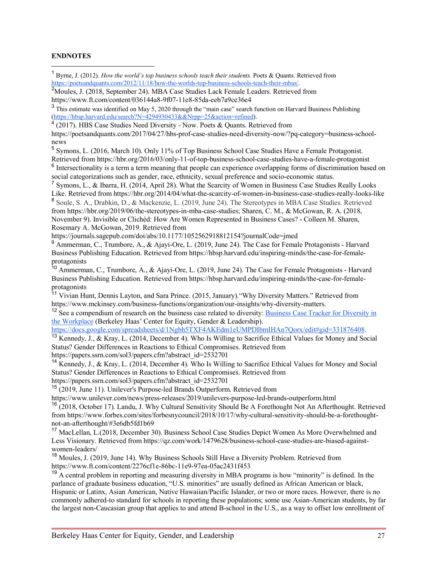#### **ENDNOTES**

 $\overline{a}$ 

<sup>1</sup> Byrne, J. (2012). *How the world's top business schools teach their students.* Poets & Quants. Retrieved from https://poetsandquants.com/2012/11/18/how-the-worlds-top-business-schools-teach-their-mbas/.

<sup>2</sup>Moules, J. (2018, September 24). MBA Case Studies Lack Female Leaders. Retrieved from https://www.ft.com/content/036144a8-9f07-11e8-85da-eeb7a9ce36e4

<sup>3</sup> This estimate was identified on May 5, 2020 through the "main case" search function on Harvard Business Publishing (https://hbsp.harvard.edu/search?N=4294930433&&Nrpp=25&action=refined).

 $4(2017)$ . HBS Case Studies Need Diversity - Now. Poets & Quants. Retrieved from

https://poetsandquants.com/2017/04/27/hbs-prof-case-studies-need-diversity-now/?pq-category=business-schoolnews

<sup>5</sup> Symons, L. (2016, March 10). Only 11% of Top Business School Case Studies Have a Female Protagonist. Retrieved from https://hbr.org/2016/03/only-11-of-top-business-school-case-studies-have-a-female-protagonist

 $6$  Intersectionality is a term a term meaning that people can experience overlapping forms of discrimination based on social categorizations such as gender, race, ethnicity, sexual preference and socio-economic status.

<sup>7</sup> Symons, L., & Ibarra, H. (2014, April 28). What the Scarcity of Women in Business Case Studies Really Looks Like. Retrieved from https://hbr.org/2014/04/what-the-scarcity-of-women-in-business-case-studies-really-looks-like <sup>8</sup> Soule, S. A., Drabkin, D., & Mackenzie, L. (2019, June 24). The Stereotypes in MBA Case Studies. Retrieved from https://hbr.org/2019/06/the-stereotypes-in-mba-case-studies; Sharen, C. M., & McGowan, R. A. (2018, November 9). Invisible or Clichéd: How Are Women Represented in Business Cases? - Colleen M. Sharen, Rosemary A. McGowan, 2019. Retrieved from

https://journals.sagepub.com/doi/abs/10.1177/1052562918812154?journalCode=jmed

<sup>9</sup> Ammerman, C., Trumbore, A., & Ajayi-Ore, L. (2019, June 24). The Case for Female Protagonists - Harvard Business Publishing Education. Retrieved from https://hbsp.harvard.edu/inspiring-minds/the-case-for-femaleprotagonists

 $10$  Ammerman, C., Trumbore, A., & Ajayi-Ore, L. (2019, June 24). The Case for Female Protagonists - Harvard Business Publishing Education. Retrieved from https://hbsp.harvard.edu/inspiring-minds/the-case-for-femaleprotagonists

<sup>11</sup> Vivian Hunt, Dennis Layton, and Sara Prince. (2015, January). "Why Diversity Matters." Retrieved from https://www.mckinsey.com/business-functions/organization/our-insights/why-diversity-matters.

<sup>12</sup> See a compendium of research on the business case related to diversity: Business Case Tracker for Diversity in the Workplace (Berkeley Haas' Center for Equity, Gender & Leadership).

https://docs.google.com/spreadsheets/d/1Ngbh5TXF4AKEdm1eUMPDIbmIHAn7Qorx/edit#gid=331876408.

<sup>13</sup> Kennedy, J., & Kray, L. (2014, December 4). Who Is Willing to Sacrifice Ethical Values for Money and Social Status? Gender Differences in Reactions to Ethical Compromises. Retrieved from https://papers.ssrn.com/sol3/papers.cfm?abstract\_id=2532701

<sup>14</sup> Kennedy, J., & Kray, L. (2014, December 4). Who Is Willing to Sacrifice Ethical Values for Money and Social

Status? Gender Differences in Reactions to Ethical Compromises. Retrieved from

https://papers.ssrn.com/sol3/papers.cfm?abstract\_id=2532701

<sup>15</sup> (2019, June 11). Unilever's Purpose-led Brands Outperform. Retrieved from

https://www.unilever.com/news/press-releases/2019/unilevers-purpose-led-brands-outperform.html

<sup>16</sup> (2018, October 17). Landu, J. Why Cultural Sensitivity Should Be A Forethought Not An Afterthought. Retrieved from https://www.forbes.com/sites/forbesnycouncil/2018/10/17/why-cultural-sensitivity-should-be-a-forethoughtnot-an-afterthought/#3e6db5fd1b69

<sup>17</sup> MacLellan, L.(2018, December 30). Business School Case Studies Depict Women As More Overwhelmed and Less Visionary. Retrieved from https://qz.com/work/1479628/business-school-case-studies-are-biased-againstwomen-leaders/

<sup>18</sup> Moules, J. (2019, June 14). Why Business Schools Still Have a Diversity Problem. Retrieved from https://www.ft.com/content/2276cf1e-86bc-11e9-97ea-05ac2431f453

<sup>19</sup> A central problem in reporting and measuring diversity in MBA programs is how "minority" is defined. In the parlance of graduate business education, "U.S. minorities" are usually defined as African American or black, Hispanic or Latinx, Asian American, Native Hawaiian/Pacific Islander, or two or more races. However, there is no commonly adhered-to standard for schools in reporting these populations; some use Asian-American students, by far the largest non-Caucasian group that applies to and attend B-school in the U.S., as a way to offset low enrollment of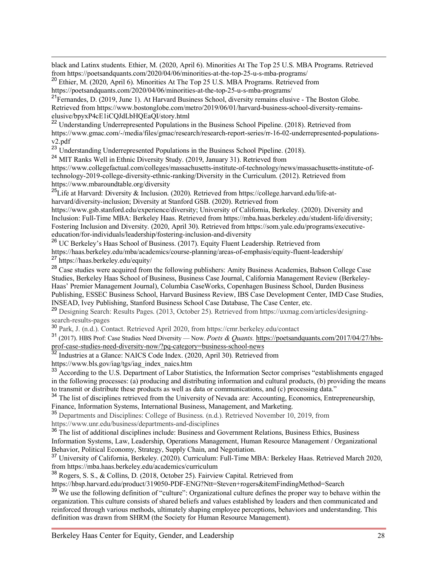$\overline{a}$ black and Latinx students. Ethier, M. (2020, April 6). Minorities At The Top 25 U.S. MBA Programs. Retrieved from https://poetsandquants.com/2020/04/06/minorities-at-the-top-25-u-s-mba-programs/

<sup>20</sup> Ethier, M. (2020, April 6). Minorities At The Top 25 U.S. MBA Programs. Retrieved from https://poetsandquants.com/2020/04/06/minorities-at-the-top-25-u-s-mba-programs/

<sup>21</sup>Fernandes, D. (2019, June 1). At Harvard Business School, diversity remains elusive - The Boston Globe. Retrieved from https://www.bostonglobe.com/metro/2019/06/01/harvard-business-school-diversity-remainselusive/bpyxP4cE1iCQJdLbHQEaQI/story.html

<sup>22</sup> Understanding Underrepresented Populations in the Business School Pipeline. (2018). Retrieved from https://www.gmac.com/-/media/files/gmac/research/research-report-series/rr-16-02-underrepresented-populationsv2.pdf

<sup>23</sup> Understanding Underrepresented Populations in the Business School Pipeline. (2018).

<sup>24</sup> MIT Ranks Well in Ethnic Diversity Study. (2019, January 31). Retrieved from

https://www.collegefactual.com/colleges/massachusetts-institute-of-technology/news/massachusetts-institute-oftechnology-2019-college-diversity-ethnic-ranking/Diversity in the Curriculum. (2012). Retrieved from https://www.mbaroundtable.org/diversity

<sup>25</sup>Life at Harvard: Diversity & Inclusion. (2020). Retrieved from https://college.harvard.edu/life-atharvard/diversity-inclusion; Diversity at Stanford GSB. (2020). Retrieved from

https://www.gsb.stanford.edu/experience/diversity; University of California, Berkeley. (2020). Diversity and Inclusion: Full-Time MBA: Berkeley Haas. Retrieved from https://mba.haas.berkeley.edu/student-life/diversity; Fostering Inclusion and Diversity. (2020, April 30). Retrieved from https://som.yale.edu/programs/executiveeducation/for-individuals/leadership/fostering-inclusion-and-diversity

<sup>26</sup> UC Berkeley's Haas School of Business. (2017). Equity Fluent Leadership. Retrieved from https://haas.berkeley.edu/mba/academics/course-planning/areas-of-emphasis/equity-fluent-leadership/ <sup>27</sup> https://haas.berkeley.edu/equity/

<sup>28</sup> Case studies were acquired from the following publishers: Amity Business Academies, Babson College Case Studies, Berkeley Haas School of Business, Business Case Journal, California Management Review (Berkeley-Haas' Premier Management Journal), Columbia CaseWorks, Copenhagen Business School, Darden Business Publishing, ESSEC Business School, Harvard Business Review, IBS Case Development Center, IMD Case Studies, INSEAD, Ivey Publishing, Stanford Business School Case Database, The Case Center, etc.

<sup>29</sup> Designing Search: Results Pages. (2013, October 25). Retrieved from https://uxmag.com/articles/designingsearch-results-pages

<sup>30</sup> Park, J. (n.d.). Contact. Retrieved April 2020, from https://cmr.berkeley.edu/contact

<sup>31</sup> (2017). HBS Prof: Case Studies Need Diversity — Now. *Poets & Quants.* https://poetsandquants.com/2017/04/27/hbsprof-case-studies-need-diversity-now/?pq-category=business-school-news

<sup>32</sup> Industries at a Glance: NAICS Code Index. (2020, April 30). Retrieved from

https://www.bls.gov/iag/tgs/iag\_index\_naics.htm

<sup>33</sup> According to the U.S. Department of Labor Statistics, the Information Sector comprises "establishments engaged in the following processes: (a) producing and distributing information and cultural products, (b) providing the means to transmit or distribute these products as well as data or communications, and (c) processing data."

<sup>34</sup> The list of disciplines retrieved from the University of Nevada are: Accounting, Economics, Entrepreneurship, Finance, Information Systems, International Business, Management, and Marketing.

<sup>35</sup> Departments and Disciplines: College of Business. (n.d.). Retrieved November 10, 2019, from https://www.unr.edu/business/departments-and-disciplines

<sup>36</sup> The list of additional disciplines include: Business and Government Relations, Business Ethics, Business Information Systems, Law, Leadership, Operations Management, Human Resource Management / Organizational

<sup>37</sup> University of California, Berkeley. (2020). Curriculum: Full-Time MBA: Berkeley Haas. Retrieved March 2020, from https://mba.haas.berkeley.edu/academics/curriculum

 $38$  Rogers, S. S., & Collins, D. (2018, October 25). Fairview Capital. Retrieved from

https://hbsp.harvard.edu/product/319050-PDF-ENG?Ntt=Steven+rogers&itemFindingMethod=Search

<sup>39</sup> We use the following definition of "culture": Organizational culture defines the proper way to behave within the organization. This culture consists of shared beliefs and values established by leaders and then communicated and reinforced through various methods, ultimately shaping employee perceptions, behaviors and understanding. This definition was drawn from SHRM (the Society for Human Resource Management).